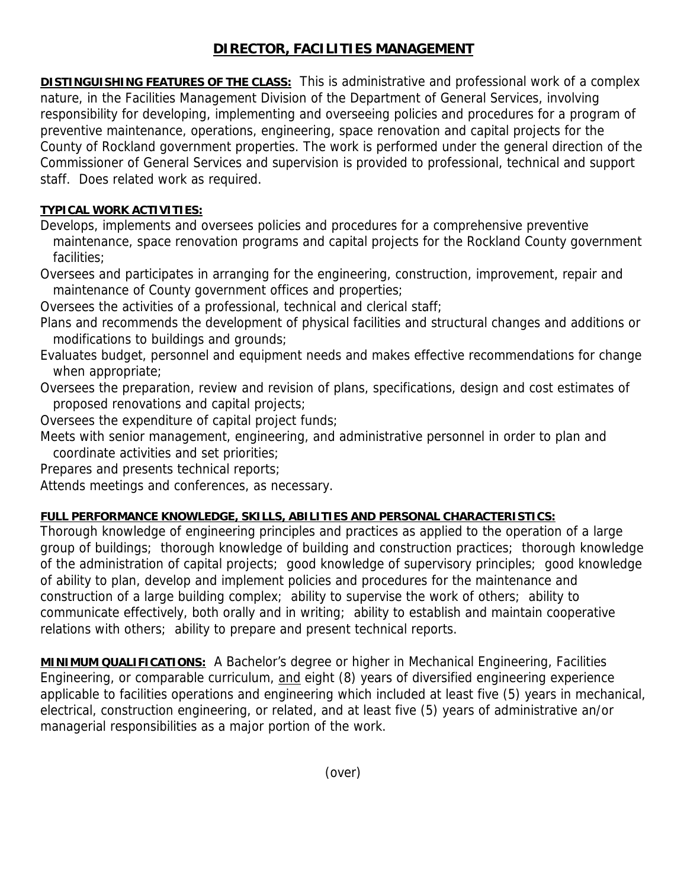# **DIRECTOR, FACILITIES MANAGEMENT**

**DISTINGUISHING FEATURES OF THE CLASS:** This is administrative and professional work of a complex nature, in the Facilities Management Division of the Department of General Services, involving responsibility for developing, implementing and overseeing policies and procedures for a program of preventive maintenance, operations, engineering, space renovation and capital projects for the County of Rockland government properties. The work is performed under the general direction of the Commissioner of General Services and supervision is provided to professional, technical and support staff. Does related work as required.

## **TYPICAL WORK ACTIVITIES:**

Develops, implements and oversees policies and procedures for a comprehensive preventive maintenance, space renovation programs and capital projects for the Rockland County government facilities;

Oversees and participates in arranging for the engineering, construction, improvement, repair and maintenance of County government offices and properties;

Oversees the activities of a professional, technical and clerical staff;

- Plans and recommends the development of physical facilities and structural changes and additions or modifications to buildings and grounds;
- Evaluates budget, personnel and equipment needs and makes effective recommendations for change when appropriate;
- Oversees the preparation, review and revision of plans, specifications, design and cost estimates of proposed renovations and capital projects;
- Oversees the expenditure of capital project funds;
- Meets with senior management, engineering, and administrative personnel in order to plan and coordinate activities and set priorities;
- Prepares and presents technical reports;

Attends meetings and conferences, as necessary.

### **FULL PERFORMANCE KNOWLEDGE, SKILLS, ABILITIES AND PERSONAL CHARACTERISTICS:**

Thorough knowledge of engineering principles and practices as applied to the operation of a large group of buildings; thorough knowledge of building and construction practices; thorough knowledge of the administration of capital projects; good knowledge of supervisory principles; good knowledge of ability to plan, develop and implement policies and procedures for the maintenance and construction of a large building complex; ability to supervise the work of others; ability to communicate effectively, both orally and in writing; ability to establish and maintain cooperative relations with others; ability to prepare and present technical reports.

**MINIMUM QUALIFICATIONS:** A Bachelor's degree or higher in Mechanical Engineering, Facilities Engineering, or comparable curriculum, and eight (8) years of diversified engineering experience applicable to facilities operations and engineering which included at least five (5) years in mechanical, electrical, construction engineering, or related, and at least five (5) years of administrative an/or managerial responsibilities as a major portion of the work.